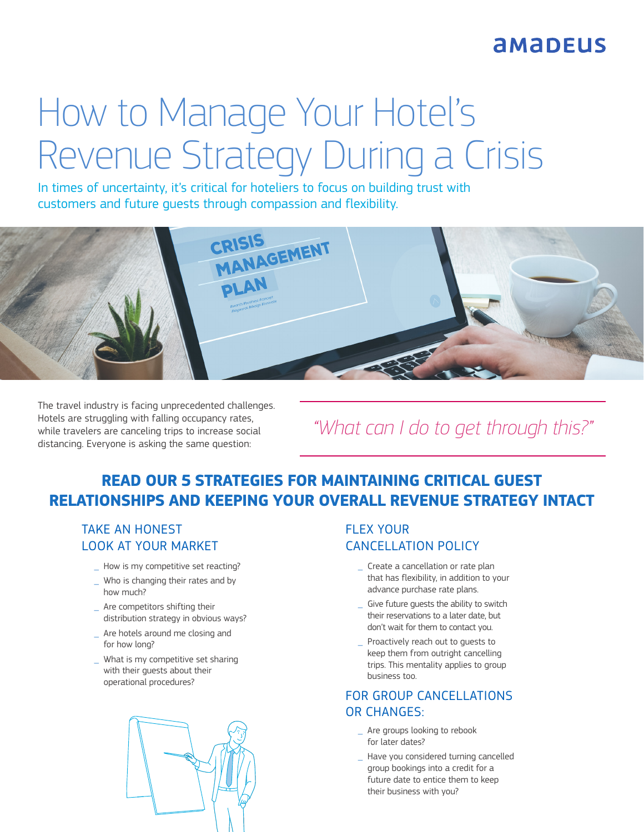## **AMADEUS**

# How to Manage Your Hotel's Revenue Strategy During a Crisis

In times of uncertainty, it's critical for hoteliers to focus on building trust with customers and future guests through compassion and flexibility.



The travel industry is facing unprecedented challenges. Hotels are struggling with falling occupancy rates, while travelers are canceling trips to increase social distancing. Everyone is asking the same question:

### *"What can I do to get through this?"*

#### **READ OUR 5 STRATEGIES FOR MAINTAINING CRITICAL GUEST RELATIONSHIPS AND KEEPING YOUR OVERALL REVENUE STRATEGY INTACT**

#### TAKE AN HONEST LOOK AT YOUR MARKET

- How is my competitive set reacting?
- Who is changing their rates and by how much?
- \_ Are competitors shifting their distribution strategy in obvious ways?
- Are hotels around me closing and for how long?
- \_ What is my competitive set sharing with their guests about their operational procedures?



#### FLEX YOUR CANCELLATION POLICY

- \_ Create a cancellation or rate plan that has flexibility, in addition to your advance purchase rate plans.
- Give future guests the ability to switch their reservations to a later date, but don't wait for them to contact you.
- Proactively reach out to quests to keep them from outright cancelling trips. This mentality applies to group business too.

#### FOR GROUP CANCELLATIONS OR CHANGES:

- Are groups looking to rebook for later dates?
- \_ Have you considered turning cancelled group bookings into a credit for a future date to entice them to keep their business with you?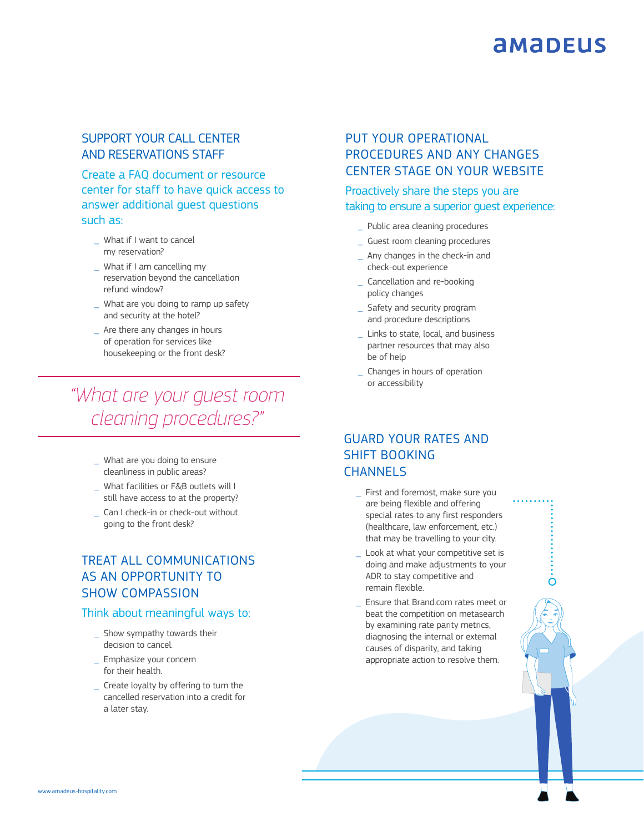## **AMADEUS**

 $\overline{O}$ 

#### SUPPORT YOUR CALL CENTER AND RESERVATIONS STAFF

Create a FAQ document or resource center for staff to have quick access to answer additional guest questions such as:

- What if I want to cancel my reservation?
- \_ What if I am cancelling my reservation beyond the cancellation refund window?
- What are you doing to ramp up safety and security at the hotel?
- Are there any changes in hours of operation for services like housekeeping or the front desk?

*"What are your guest room cleaning procedures?"*

- \_ What are you doing to ensure cleanliness in public areas?
- \_ What facilities or F&B outlets will I still have access to at the property?
- \_ Can I check-in or check-out without going to the front desk?

#### TREAT ALL COMMUNICATIONS AS AN OPPORTUNITY TO SHOW COMPASSION

#### Think about meaningful ways to:

- Show sympathy towards their decision to cancel.
- \_ Emphasize your concern for their health.
- \_ Create loyalty by offering to turn the cancelled reservation into a credit for a later stay.

#### PUT YOUR OPERATIONAL PROCEDURES AND ANY CHANGES CENTER STAGE ON YOUR WEBSITE

#### Proactively share the steps you are taking to ensure a superior guest experience:

- \_ Public area cleaning procedures
- \_ Guest room cleaning procedures
- Any changes in the check-in and check-out experience
- \_ Cancellation and re-booking policy changes
- Safety and security program and procedure descriptions
- \_ Links to state, local, and business partner resources that may also be of help
- \_ Changes in hours of operation or accessibility

#### GUARD YOUR RATES AND SHIFT BOOKING CHANNELS

- First and foremost, make sure you are being flexible and offering special rates to any first responders (healthcare, law enforcement, etc.) that may be travelling to your city.
- Look at what your competitive set is doing and make adjustments to your ADR to stay competitive and remain flexible.
- \_ Ensure that Brand.com rates meet or beat the competition on metasearch by examining rate parity metrics, diagnosing the internal or external causes of disparity, and taking appropriate action to resolve them.